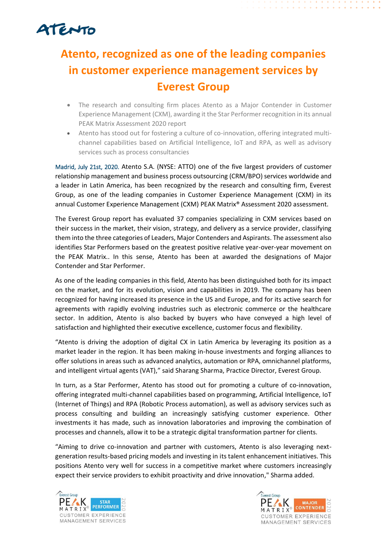## ATENTO

## **Atento, recognized as one of the leading companies in customer experience management services by Everest Group**

- The research and consulting firm places Atento as a Major Contender in Customer Experience Management (CXM), awarding it the Star Performer recognition in its annual PEAK Matrix Assessment 2020 report
- Atento has stood out for fostering a culture of co-innovation, offering integrated multichannel capabilities based on Artificial Intelligence, IoT and RPA, as well as advisory services such as process consultancies

Madrid, July 21st, 2020. Atento S.A. (NYSE: ATTO) one of the five largest providers of customer relationship management and business process outsourcing (CRM/BPO) services worldwide and a leader in Latin America, has been recognized by the research and consulting firm, Everest Group, as one of the leading companies in Customer Experience Management (CXM) in its annual Customer Experience Management (CXM) PEAK Matrix® Assessment 2020 assessment.

The Everest Group report has evaluated 37 companies specializing in CXM services based on their success in the market, their vision, strategy, and delivery as a service provider, classifying them into the three categories of Leaders, Major Contenders and Aspirants. The assessment also identifies Star Performers based on the greatest positive relative year-over-year movement on the PEAK Matrix.. In this sense, Atento has been at awarded the designations of Major Contender and Star Performer.

As one of the leading companies in this field, Atento has been distinguished both for its impact on the market, and for its evolution, vision and capabilities in 2019. The company has been recognized for having increased its presence in the US and Europe, and for its active search for agreements with rapidly evolving industries such as electronic commerce or the healthcare sector. In addition, Atento is also backed by buyers who have conveyed a high level of satisfaction and highlighted their executive excellence, customer focus and flexibility.

"Atento is driving the adoption of digital CX in Latin America by leveraging its position as a market leader in the region. It has been making in-house investments and forging alliances to offer solutions in areas such as advanced analytics, automation or RPA, omnichannel platforms, and intelligent virtual agents (VAT)," said Sharang Sharma, Practice Director, Everest Group.

In turn, as a Star Performer, Atento has stood out for promoting a culture of co-innovation, offering integrated multi-channel capabilities based on programming, Artificial Intelligence, IoT (Internet of Things) and RPA (Robotic Process automation), as well as advisory services such as process consulting and building an increasingly satisfying customer experience. Other investments it has made, such as innovation laboratories and improving the combination of processes and channels, allow it to be a strategic digital transformation partner for clients.

"Aiming to drive co-innovation and partner with customers, Atento is also leveraging nextgeneration results-based pricing models and investing in its talent enhancement initiatives. This positions Atento very well for success in a competitive market where customers increasingly expect their service providers to exhibit proactivity and drive innovation," Sharma added.